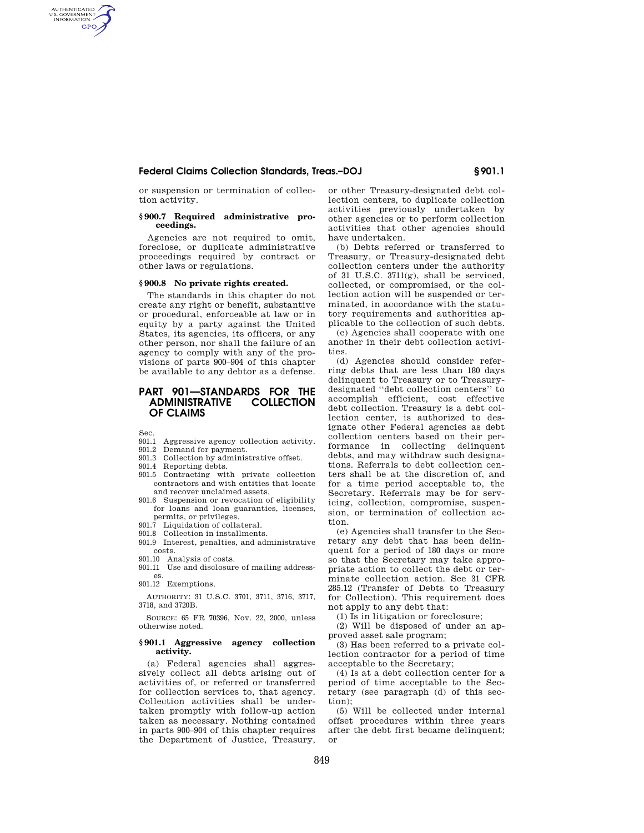or suspension or termination of collection activity.

#### **§ 900.7 Required administrative proceedings.**

Agencies are not required to omit, foreclose, or duplicate administrative proceedings required by contract or other laws or regulations.

### **§ 900.8 No private rights created.**

The standards in this chapter do not create any right or benefit, substantive or procedural, enforceable at law or in equity by a party against the United States, its agencies, its officers, or any other person, nor shall the failure of an agency to comply with any of the provisions of parts 900–904 of this chapter be available to any debtor as a defense.

# **PART 901—STANDARDS FOR THE ADMINISTRATIVE COLLECTION OF CLAIMS**

Sec.

AUTHENTICATED<br>U.S. GOVERNMENT<br>INFORMATION **GPO** 

- 901.1 Aggressive agency collection activity.<br>901.2 Demand for payment
- Demand for payment. 901.3 Collection by administrative offset.
- 901.4 Reporting debts.
- 
- 901.5 Contracting with private collection contractors and with entities that locate and recover unclaimed assets.
- 901.6 Suspension or revocation of eligibility for loans and loan guaranties, licenses, permits, or privileges.
- 901.7 Liquidation of collateral.
- 901.8 Collection in installments.
- 901.9 Interest, penalties, and administrative costs.
- 901.10 Analysis of costs. 901.11 Use and disclosure of mailing address-
- es. 901.12 Exemptions.

AUTHORITY: 31 U.S.C. 3701, 3711, 3716, 3717, 3718, and 3720B.

SOURCE: 65 FR 70396, Nov. 22, 2000, unless otherwise noted.

#### **§ 901.1 Aggressive agency collection activity.**

(a) Federal agencies shall aggressively collect all debts arising out of activities of, or referred or transferred for collection services to, that agency. Collection activities shall be undertaken promptly with follow-up action taken as necessary. Nothing contained in parts 900–904 of this chapter requires the Department of Justice, Treasury,

or other Treasury-designated debt collection centers, to duplicate collection activities previously undertaken by other agencies or to perform collection activities that other agencies should have undertaken.

(b) Debts referred or transferred to Treasury, or Treasury-designated debt collection centers under the authority of 31 U.S.C.  $3711(g)$ , shall be serviced. collected, or compromised, or the collection action will be suspended or terminated, in accordance with the statutory requirements and authorities applicable to the collection of such debts.

(c) Agencies shall cooperate with one another in their debt collection activities.

(d) Agencies should consider referring debts that are less than 180 days delinquent to Treasury or to Treasurydesignated ''debt collection centers'' to accomplish efficient, cost effective debt collection. Treasury is a debt collection center, is authorized to designate other Federal agencies as debt collection centers based on their performance in collecting delinquent debts, and may withdraw such designations. Referrals to debt collection centers shall be at the discretion of, and for a time period acceptable to, the Secretary. Referrals may be for servicing, collection, compromise, suspension, or termination of collection action.

(e) Agencies shall transfer to the Secretary any debt that has been delinquent for a period of 180 days or more so that the Secretary may take appropriate action to collect the debt or terminate collection action. See 31 CFR 285.12 (Transfer of Debts to Treasury for Collection). This requirement does not apply to any debt that:

(1) Is in litigation or foreclosure;

(2) Will be disposed of under an approved asset sale program;

(3) Has been referred to a private collection contractor for a period of time acceptable to the Secretary;

(4) Is at a debt collection center for a period of time acceptable to the Secretary (see paragraph (d) of this section);

(5) Will be collected under internal offset procedures within three years after the debt first became delinquent; or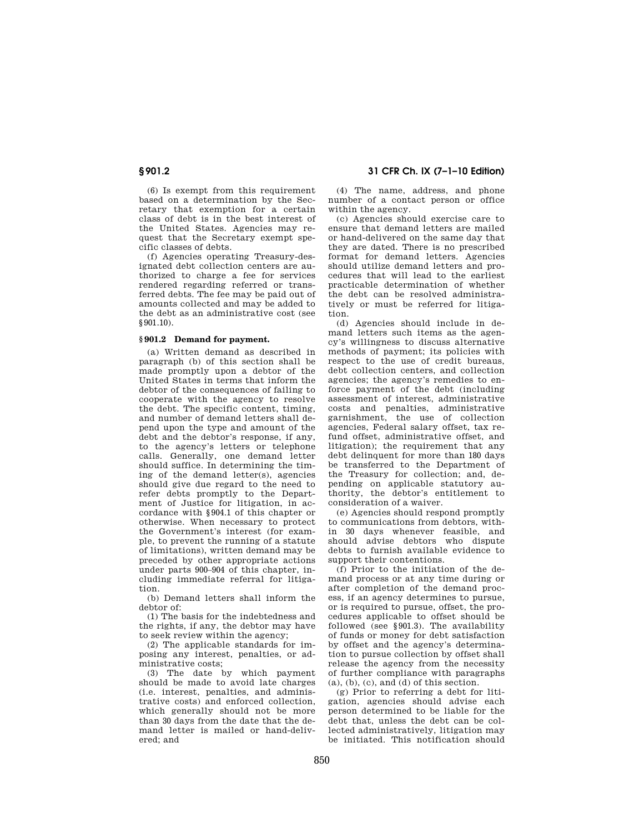**§ 901.2 31 CFR Ch. IX (7–1–10 Edition)** 

(6) Is exempt from this requirement based on a determination by the Secretary that exemption for a certain class of debt is in the best interest of the United States. Agencies may request that the Secretary exempt specific classes of debts.

(f) Agencies operating Treasury-designated debt collection centers are authorized to charge a fee for services rendered regarding referred or transferred debts. The fee may be paid out of amounts collected and may be added to the debt as an administrative cost (see §901.10).

## **§ 901.2 Demand for payment.**

(a) Written demand as described in paragraph (b) of this section shall be made promptly upon a debtor of the United States in terms that inform the debtor of the consequences of failing to cooperate with the agency to resolve the debt. The specific content, timing, and number of demand letters shall depend upon the type and amount of the debt and the debtor's response, if any, to the agency's letters or telephone calls. Generally, one demand letter should suffice. In determining the timing of the demand letter(s), agencies should give due regard to the need to refer debts promptly to the Department of Justice for litigation, in accordance with §904.1 of this chapter or otherwise. When necessary to protect the Government's interest (for example, to prevent the running of a statute of limitations), written demand may be preceded by other appropriate actions under parts 900–904 of this chapter, including immediate referral for litigation.

(b) Demand letters shall inform the debtor of:

(1) The basis for the indebtedness and the rights, if any, the debtor may have to seek review within the agency;

(2) The applicable standards for imposing any interest, penalties, or administrative costs;

(3) The date by which payment should be made to avoid late charges (i.e. interest, penalties, and administrative costs) and enforced collection, which generally should not be more than 30 days from the date that the demand letter is mailed or hand-delivered; and

(4) The name, address, and phone number of a contact person or office within the agency.

(c) Agencies should exercise care to ensure that demand letters are mailed or hand-delivered on the same day that they are dated. There is no prescribed format for demand letters. Agencies should utilize demand letters and procedures that will lead to the earliest practicable determination of whether the debt can be resolved administratively or must be referred for litigation.

(d) Agencies should include in demand letters such items as the agency's willingness to discuss alternative methods of payment; its policies with respect to the use of credit bureaus, debt collection centers, and collection agencies; the agency's remedies to enforce payment of the debt (including assessment of interest, administrative costs and penalties, administrative garnishment, the use of collection agencies, Federal salary offset, tax refund offset, administrative offset, and litigation); the requirement that any debt delinquent for more than 180 days be transferred to the Department of the Treasury for collection; and, depending on applicable statutory authority, the debtor's entitlement to consideration of a waiver.

(e) Agencies should respond promptly to communications from debtors, within 30 days whenever feasible, and should advise debtors who dispute debts to furnish available evidence to support their contentions.

(f) Prior to the initiation of the demand process or at any time during or after completion of the demand process, if an agency determines to pursue, or is required to pursue, offset, the procedures applicable to offset should be followed (see §901.3). The availability of funds or money for debt satisfaction by offset and the agency's determination to pursue collection by offset shall release the agency from the necessity of further compliance with paragraphs  $(a), (b), (c), and (d)$  of this section.

(g) Prior to referring a debt for litigation, agencies should advise each person determined to be liable for the debt that, unless the debt can be collected administratively, litigation may be initiated. This notification should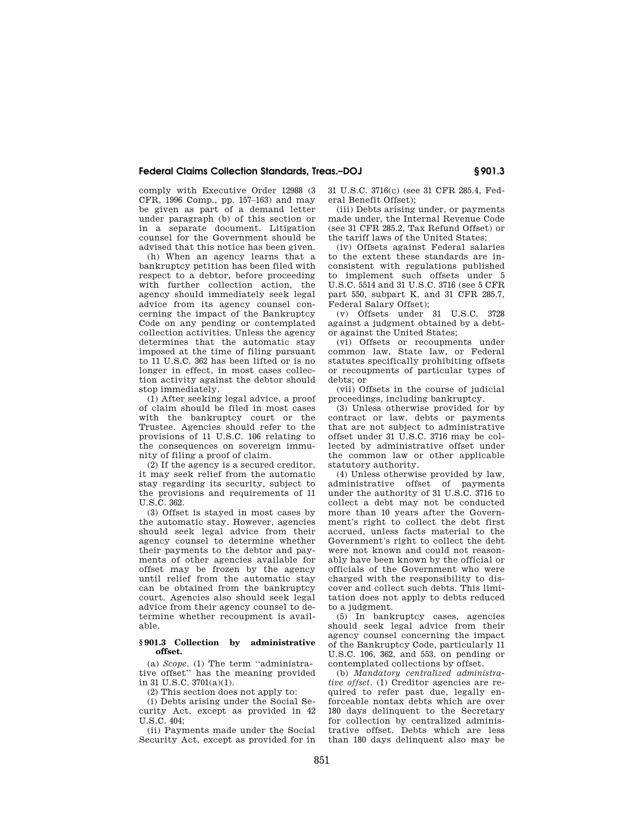comply with Executive Order 12988 (3 CFR, 1996 Comp., pp. 157–163) and may be given as part of a demand letter under paragraph (b) of this section or in a separate document. Litigation counsel for the Government should be advised that this notice has been given.

(h) When an agency learns that a bankruptcy petition has been filed with respect to a debtor, before proceeding with further collection action, the agency should immediately seek legal advice from its agency counsel concerning the impact of the Bankruptcy Code on any pending or contemplated collection activities. Unless the agency determines that the automatic stay imposed at the time of filing pursuant to 11 U.S.C. 362 has been lifted or is no longer in effect, in most cases collection activity against the debtor should stop immediately.

(1) After seeking legal advice, a proof of claim should be filed in most cases with the bankruptcy court or the Trustee. Agencies should refer to the provisions of 11 U.S.C. 106 relating to the consequences on sovereign immunity of filing a proof of claim.

(2) If the agency is a secured creditor, it may seek relief from the automatic stay regarding its security, subject to the provisions and requirements of 11  $U.S.C. 362$ 

(3) Offset is stayed in most cases by the automatic stay. However, agencies should seek legal advice from their agency counsel to determine whether their payments to the debtor and payments of other agencies available for offset may be frozen by the agency until relief from the automatic stay can be obtained from the bankruptcy court. Agencies also should seek legal advice from their agency counsel to determine whether recoupment is available.

#### **§ 901.3 Collection by administrative offset.**

(a) *Scope.* (1) The term ''administrative offset'' has the meaning provided in 31 U.S.C. 3701(a)(1).

(2) This section does not apply to:

(i) Debts arising under the Social Security Act, except as provided in 42  $U.S.C. 404$ 

(ii) Payments made under the Social Security Act, except as provided for in 31 U.S.C. 3716(c) (see 31 CFR 285.4, Federal Benefit Offset);

(iii) Debts arising under, or payments made under, the Internal Revenue Code (see 31 CFR 285.2, Tax Refund Offset) or the tariff laws of the United States;

(iv) Offsets against Federal salaries to the extent these standards are inconsistent with regulations published to implement such offsets under 5 U.S.C. 5514 and 31 U.S.C. 3716 (see 5 CFR part 550, subpart K, and 31 CFR 285.7, Federal Salary Offset);

(v) Offsets under 31 U.S.C. 3728 against a judgment obtained by a debtor against the United States;

(vi) Offsets or recoupments under common law, State law, or Federal statutes specifically prohibiting offsets or recoupments of particular types of debts; or

(vii) Offsets in the course of judicial proceedings, including bankruptcy.

(3) Unless otherwise provided for by contract or law, debts or payments that are not subject to administrative offset under 31 U.S.C. 3716 may be collected by administrative offset under the common law or other applicable statutory authority.

(4) Unless otherwise provided by law, administrative offset of payments under the authority of 31 U.S.C. 3716 to collect a debt may not be conducted more than 10 years after the Government's right to collect the debt first accrued, unless facts material to the Government's right to collect the debt were not known and could not reasonably have been known by the official or officials of the Government who were charged with the responsibility to discover and collect such debts. This limitation does not apply to debts reduced to a judgment.

(5) In bankruptcy cases, agencies should seek legal advice from their agency counsel concerning the impact of the Bankruptcy Code, particularly 11 U.S.C. 106, 362, and 553, on pending or contemplated collections by offset.

(b) *Mandatory centralized administrative offset.* (1) Creditor agencies are required to refer past due, legally enforceable nontax debts which are over 180 days delinquent to the Secretary for collection by centralized administrative offset. Debts which are less than 180 days delinquent also may be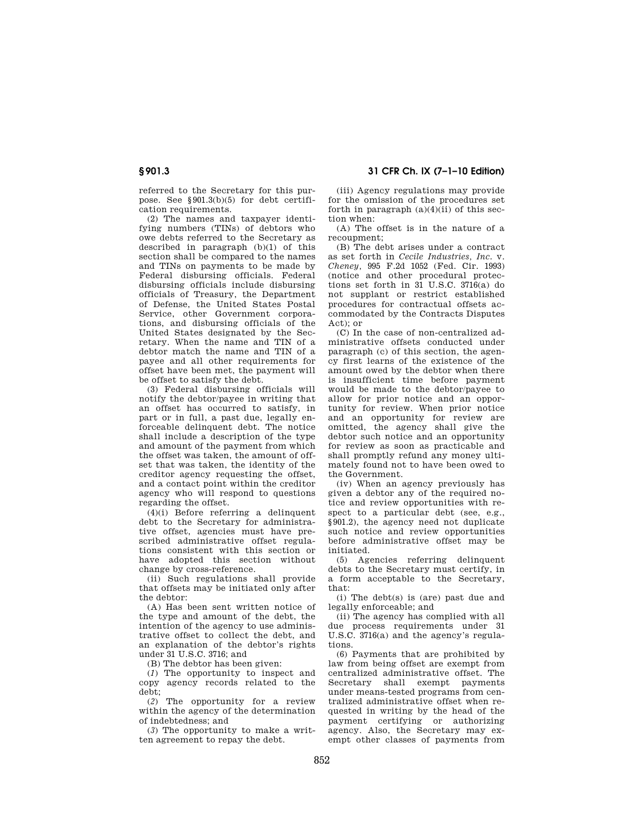referred to the Secretary for this purpose. See §901.3(b)(5) for debt certifi-

cation requirements. (2) The names and taxpayer identifying numbers (TINs) of debtors who owe debts referred to the Secretary as described in paragraph (b)(1) of this section shall be compared to the names and TINs on payments to be made by Federal disbursing officials. Federal disbursing officials include disbursing officials of Treasury, the Department of Defense, the United States Postal Service, other Government corporations, and disbursing officials of the United States designated by the Secretary. When the name and TIN of a debtor match the name and TIN of a payee and all other requirements for offset have been met, the payment will be offset to satisfy the debt.

(3) Federal disbursing officials will notify the debtor/payee in writing that an offset has occurred to satisfy, in part or in full, a past due, legally enforceable delinquent debt. The notice shall include a description of the type and amount of the payment from which the offset was taken, the amount of offset that was taken, the identity of the creditor agency requesting the offset, and a contact point within the creditor agency who will respond to questions regarding the offset.

(4)(i) Before referring a delinquent debt to the Secretary for administrative offset, agencies must have prescribed administrative offset regulations consistent with this section or have adopted this section without change by cross-reference.

(ii) Such regulations shall provide that offsets may be initiated only after the debtor:

(A) Has been sent written notice of the type and amount of the debt, the intention of the agency to use administrative offset to collect the debt, and an explanation of the debtor's rights under 31 U.S.C. 3716; and

(B) The debtor has been given:

(*1*) The opportunity to inspect and copy agency records related to the debt;

(*2*) The opportunity for a review within the agency of the determination of indebtedness; and

(*3*) The opportunity to make a written agreement to repay the debt.

(iii) Agency regulations may provide for the omission of the procedures set forth in paragraph  $(a)(4)(ii)$  of this section when:

(A) The offset is in the nature of a recoupment;

(B) The debt arises under a contract as set forth in *Cecile Industries, Inc.* v. *Cheney,* 995 F.2d 1052 (Fed. Cir. 1993) (notice and other procedural protections set forth in 31 U.S.C. 3716(a) do not supplant or restrict established procedures for contractual offsets accommodated by the Contracts Disputes Act); or

(C) In the case of non-centralized administrative offsets conducted under paragraph (c) of this section, the agency first learns of the existence of the amount owed by the debtor when there is insufficient time before payment would be made to the debtor/payee to allow for prior notice and an opportunity for review. When prior notice and an opportunity for review are omitted, the agency shall give the debtor such notice and an opportunity for review as soon as practicable and shall promptly refund any money ultimately found not to have been owed to the Government.

(iv) When an agency previously has given a debtor any of the required notice and review opportunities with respect to a particular debt (see, e.g., §901.2), the agency need not duplicate such notice and review opportunities before administrative offset may be initiated.

(5) Agencies referring delinquent debts to the Secretary must certify, in a form acceptable to the Secretary, that:

(i) The debt(s) is (are) past due and legally enforceable; and

(ii) The agency has complied with all due process requirements under 31 U.S.C. 3716(a) and the agency's regulations.

(6) Payments that are prohibited by law from being offset are exempt from centralized administrative offset. The Secretary shall exempt payments under means-tested programs from centralized administrative offset when requested in writing by the head of the payment certifying or authorizing agency. Also, the Secretary may exempt other classes of payments from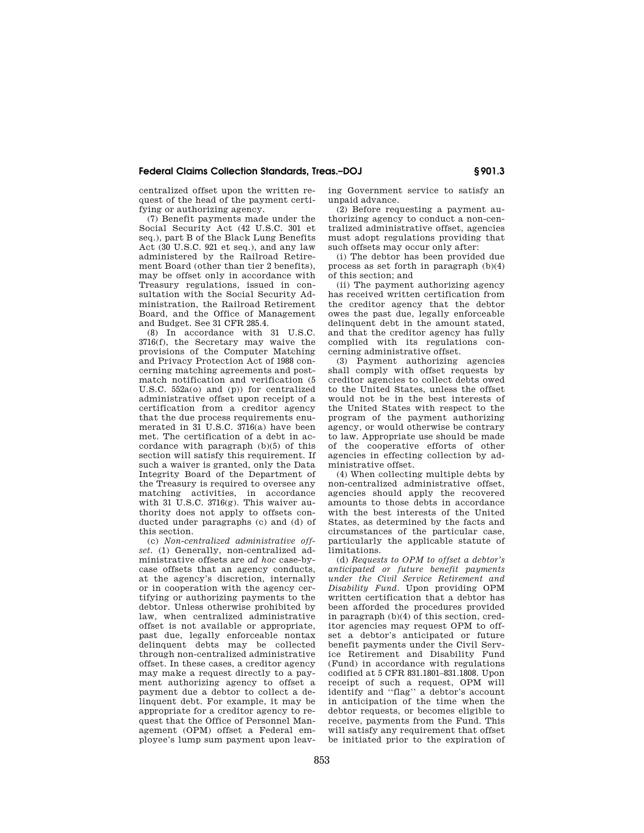centralized offset upon the written request of the head of the payment certifying or authorizing agency.

(7) Benefit payments made under the Social Security Act (42 U.S.C. 301 et seq.), part B of the Black Lung Benefits Act (30 U.S.C. 921 et seq.), and any law administered by the Railroad Retirement Board (other than tier 2 benefits), may be offset only in accordance with Treasury regulations, issued in consultation with the Social Security Administration, the Railroad Retirement Board, and the Office of Management and Budget. See 31 CFR 285.4.

(8) In accordance with 31 U.S.C. 3716(f), the Secretary may waive the provisions of the Computer Matching and Privacy Protection Act of 1988 concerning matching agreements and postmatch notification and verification (5 U.S.C. 552a(o) and (p)) for centralized administrative offset upon receipt of a certification from a creditor agency that the due process requirements enumerated in 31 U.S.C. 3716(a) have been met. The certification of a debt in accordance with paragraph (b)(5) of this section will satisfy this requirement. If such a waiver is granted, only the Data Integrity Board of the Department of the Treasury is required to oversee any matching activities, in accordance with 31  $\mathrm{U.S.C.}$  3716 $\mathrm{(g)}$ . This waiver authority does not apply to offsets conducted under paragraphs (c) and (d) of this section.

(c) *Non-centralized administrative offset.* (1) Generally, non-centralized administrative offsets are *ad hoc* case-bycase offsets that an agency conducts, at the agency's discretion, internally or in cooperation with the agency certifying or authorizing payments to the debtor. Unless otherwise prohibited by law, when centralized administrative offset is not available or appropriate, past due, legally enforceable nontax delinquent debts may be collected through non-centralized administrative offset. In these cases, a creditor agency may make a request directly to a payment authorizing agency to offset a payment due a debtor to collect a delinquent debt. For example, it may be appropriate for a creditor agency to request that the Office of Personnel Management (OPM) offset a Federal employee's lump sum payment upon leaving Government service to satisfy an unpaid advance.

(2) Before requesting a payment authorizing agency to conduct a non-centralized administrative offset, agencies must adopt regulations providing that such offsets may occur only after:

(i) The debtor has been provided due process as set forth in paragraph (b)(4) of this section; and

(ii) The payment authorizing agency has received written certification from the creditor agency that the debtor owes the past due, legally enforceable delinquent debt in the amount stated, and that the creditor agency has fully complied with its regulations concerning administrative offset.

(3) Payment authorizing agencies shall comply with offset requests by creditor agencies to collect debts owed to the United States, unless the offset would not be in the best interests of the United States with respect to the program of the payment authorizing agency, or would otherwise be contrary to law. Appropriate use should be made of the cooperative efforts of other agencies in effecting collection by administrative offset.

(4) When collecting multiple debts by non-centralized administrative offset, agencies should apply the recovered amounts to those debts in accordance with the best interests of the United States, as determined by the facts and circumstances of the particular case, particularly the applicable statute of limitations.

(d) *Requests to OPM to offset a debtor's anticipated or future benefit payments under the Civil Service Retirement and Disability Fund.* Upon providing OPM written certification that a debtor has been afforded the procedures provided in paragraph (b)(4) of this section, creditor agencies may request OPM to offset a debtor's anticipated or future benefit payments under the Civil Service Retirement and Disability Fund (Fund) in accordance with regulations codified at 5 CFR 831.1801–831.1808. Upon receipt of such a request, OPM will identify and ''flag'' a debtor's account in anticipation of the time when the debtor requests, or becomes eligible to receive, payments from the Fund. This will satisfy any requirement that offset be initiated prior to the expiration of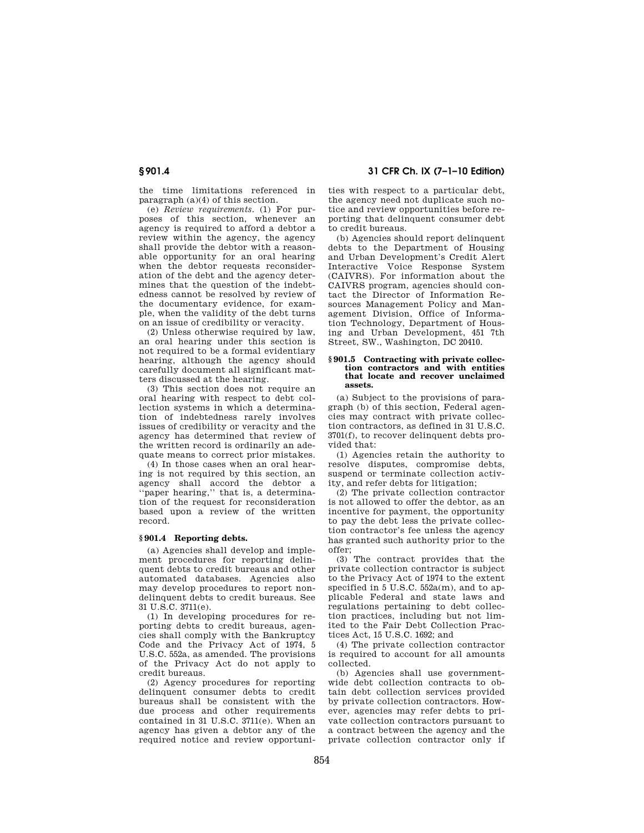# **§ 901.4 31 CFR Ch. IX (7–1–10 Edition)**

the time limitations referenced in paragraph (a)(4) of this section.

(e) *Review requirements.* (1) For purposes of this section, whenever an agency is required to afford a debtor a review within the agency, the agency shall provide the debtor with a reasonable opportunity for an oral hearing when the debtor requests reconsideration of the debt and the agency determines that the question of the indebtedness cannot be resolved by review of the documentary evidence, for example, when the validity of the debt turns on an issue of credibility or veracity.

(2) Unless otherwise required by law, an oral hearing under this section is not required to be a formal evidentiary hearing, although the agency should carefully document all significant matters discussed at the hearing.

(3) This section does not require an oral hearing with respect to debt collection systems in which a determination of indebtedness rarely involves issues of credibility or veracity and the agency has determined that review of the written record is ordinarily an adequate means to correct prior mistakes.

(4) In those cases when an oral hearing is not required by this section, an agency shall accord the debtor a ''paper hearing,'' that is, a determination of the request for reconsideration based upon a review of the written record.

# **§ 901.4 Reporting debts.**

(a) Agencies shall develop and implement procedures for reporting delinquent debts to credit bureaus and other automated databases. Agencies also may develop procedures to report nondelinquent debts to credit bureaus. See 31 U.S.C. 3711(e).

(1) In developing procedures for reporting debts to credit bureaus, agencies shall comply with the Bankruptcy Code and the Privacy Act of 1974, 5 U.S.C. 552a, as amended. The provisions of the Privacy Act do not apply to credit bureaus.

(2) Agency procedures for reporting delinquent consumer debts to credit bureaus shall be consistent with the due process and other requirements contained in 31 U.S.C. 3711(e). When an agency has given a debtor any of the required notice and review opportunities with respect to a particular debt, the agency need not duplicate such notice and review opportunities before reporting that delinquent consumer debt to credit bureaus.

(b) Agencies should report delinquent debts to the Department of Housing and Urban Development's Credit Alert Interactive Voice Response System (CAIVRS). For information about the CAIVRS program, agencies should contact the Director of Information Resources Management Policy and Management Division, Office of Information Technology, Department of Housing and Urban Development, 451 7th Street, SW., Washington, DC 20410.

#### **§ 901.5 Contracting with private collection contractors and with entities that locate and recover unclaimed assets.**

(a) Subject to the provisions of paragraph (b) of this section, Federal agencies may contract with private collection contractors, as defined in 31 U.S.C. 3701(f), to recover delinquent debts provided that:

(1) Agencies retain the authority to resolve disputes, compromise debts, suspend or terminate collection activity, and refer debts for litigation;

(2) The private collection contractor is not allowed to offer the debtor, as an incentive for payment, the opportunity to pay the debt less the private collection contractor's fee unless the agency has granted such authority prior to the offer;

(3) The contract provides that the private collection contractor is subject to the Privacy Act of 1974 to the extent specified in 5 U.S.C. 552a(m), and to applicable Federal and state laws and regulations pertaining to debt collection practices, including but not limited to the Fair Debt Collection Practices Act, 15 U.S.C. 1692; and

(4) The private collection contractor is required to account for all amounts collected.

(b) Agencies shall use governmentwide debt collection contracts to obtain debt collection services provided by private collection contractors. However, agencies may refer debts to private collection contractors pursuant to a contract between the agency and the private collection contractor only if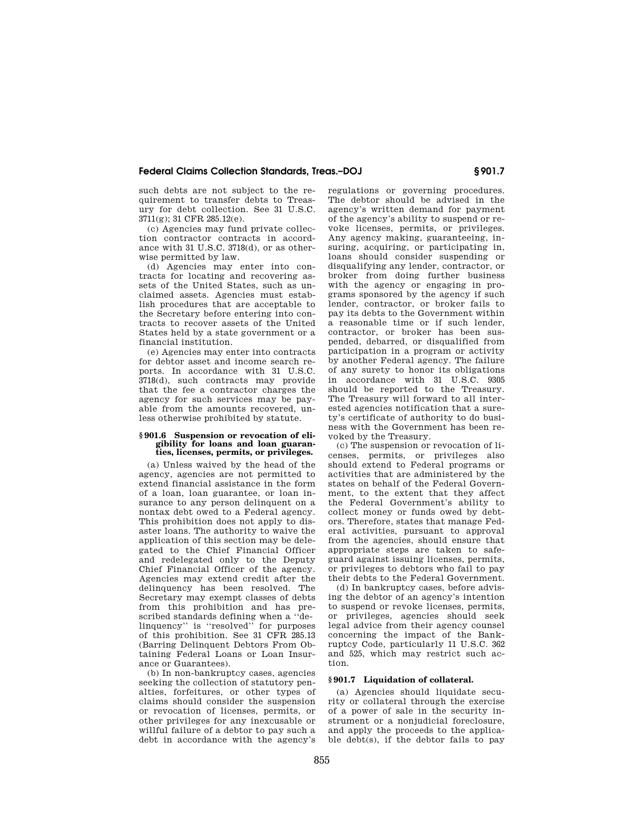such debts are not subject to the requirement to transfer debts to Treasury for debt collection. See 31 U.S.C. 3711(g); 31 CFR 285.12(e).

(c) Agencies may fund private collection contractor contracts in accordance with 31 U.S.C. 3718(d), or as otherwise permitted by law.

(d) Agencies may enter into contracts for locating and recovering assets of the United States, such as unclaimed assets. Agencies must establish procedures that are acceptable to the Secretary before entering into contracts to recover assets of the United States held by a state government or a financial institution.

(e) Agencies may enter into contracts for debtor asset and income search reports. In accordance with 31 U.S.C. 3718(d), such contracts may provide that the fee a contractor charges the agency for such services may be payable from the amounts recovered, unless otherwise prohibited by statute.

#### **§ 901.6 Suspension or revocation of eligibility for loans and loan guaranties, licenses, permits, or privileges.**

(a) Unless waived by the head of the agency, agencies are not permitted to extend financial assistance in the form of a loan, loan guarantee, or loan insurance to any person delinquent on a nontax debt owed to a Federal agency. This prohibition does not apply to disaster loans. The authority to waive the application of this section may be delegated to the Chief Financial Officer and redelegated only to the Deputy Chief Financial Officer of the agency. Agencies may extend credit after the delinquency has been resolved. The Secretary may exempt classes of debts from this prohibition and has prescribed standards defining when a ''delinquency'' is ''resolved'' for purposes of this prohibition. See 31 CFR 285.13 (Barring Delinquent Debtors From Obtaining Federal Loans or Loan Insurance or Guarantees).

(b) In non-bankruptcy cases, agencies seeking the collection of statutory penalties, forfeitures, or other types of claims should consider the suspension or revocation of licenses, permits, or other privileges for any inexcusable or willful failure of a debtor to pay such a debt in accordance with the agency's

regulations or governing procedures. The debtor should be advised in the agency's written demand for payment of the agency's ability to suspend or revoke licenses, permits, or privileges. Any agency making, guaranteeing, insuring, acquiring, or participating in, loans should consider suspending or disqualifying any lender, contractor, or broker from doing further business with the agency or engaging in programs sponsored by the agency if such lender, contractor, or broker fails to pay its debts to the Government within a reasonable time or if such lender, contractor, or broker has been suspended, debarred, or disqualified from participation in a program or activity by another Federal agency. The failure of any surety to honor its obligations in accordance with 31 U.S.C. 9305 should be reported to the Treasury. The Treasury will forward to all interested agencies notification that a surety's certificate of authority to do business with the Government has been revoked by the Treasury.

(c) The suspension or revocation of licenses, permits, or privileges also should extend to Federal programs or activities that are administered by the states on behalf of the Federal Government, to the extent that they affect the Federal Government's ability to collect money or funds owed by debtors. Therefore, states that manage Federal activities, pursuant to approval from the agencies, should ensure that appropriate steps are taken to safeguard against issuing licenses, permits, or privileges to debtors who fail to pay their debts to the Federal Government.

(d) In bankruptcy cases, before advising the debtor of an agency's intention to suspend or revoke licenses, permits, or privileges, agencies should seek legal advice from their agency counsel concerning the impact of the Bankruptcy Code, particularly 11 U.S.C. 362 and 525, which may restrict such action.

# **§ 901.7 Liquidation of collateral.**

(a) Agencies should liquidate security or collateral through the exercise of a power of sale in the security instrument or a nonjudicial foreclosure, and apply the proceeds to the applicable debt(s), if the debtor fails to pay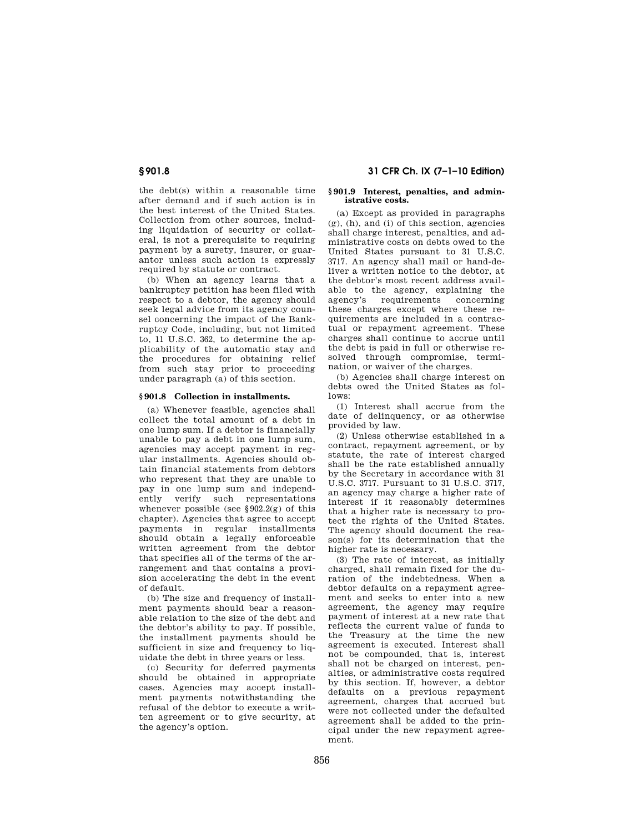the debt(s) within a reasonable time after demand and if such action is in the best interest of the United States. Collection from other sources, including liquidation of security or collateral, is not a prerequisite to requiring payment by a surety, insurer, or guarantor unless such action is expressly required by statute or contract.

(b) When an agency learns that a bankruptcy petition has been filed with respect to a debtor, the agency should seek legal advice from its agency counsel concerning the impact of the Bankruptcy Code, including, but not limited to, 11 U.S.C. 362, to determine the applicability of the automatic stay and the procedures for obtaining relief from such stay prior to proceeding under paragraph (a) of this section.

### **§ 901.8 Collection in installments.**

(a) Whenever feasible, agencies shall collect the total amount of a debt in one lump sum. If a debtor is financially unable to pay a debt in one lump sum, agencies may accept payment in regular installments. Agencies should obtain financial statements from debtors who represent that they are unable to pay in one lump sum and independently verify such representations whenever possible (see  $\S 902.2(g)$  of this chapter). Agencies that agree to accept payments in regular installments should obtain a legally enforceable written agreement from the debtor that specifies all of the terms of the arrangement and that contains a provision accelerating the debt in the event of default.

(b) The size and frequency of installment payments should bear a reasonable relation to the size of the debt and the debtor's ability to pay. If possible, the installment payments should be sufficient in size and frequency to liquidate the debt in three years or less.

(c) Security for deferred payments should be obtained in appropriate cases. Agencies may accept installment payments notwithstanding the refusal of the debtor to execute a written agreement or to give security, at the agency's option.

# **§ 901.8 31 CFR Ch. IX (7–1–10 Edition)**

#### **§ 901.9 Interest, penalties, and administrative costs.**

(a) Except as provided in paragraphs (g), (h), and (i) of this section, agencies shall charge interest, penalties, and administrative costs on debts owed to the United States pursuant to 31 U.S.C. 3717. An agency shall mail or hand-deliver a written notice to the debtor, at the debtor's most recent address available to the agency, explaining the agency's requirements concerning these charges except where these requirements are included in a contractual or repayment agreement. These charges shall continue to accrue until the debt is paid in full or otherwise resolved through compromise, termination, or waiver of the charges.

(b) Agencies shall charge interest on debts owed the United States as follows:

(1) Interest shall accrue from the date of delinquency, or as otherwise provided by law.

(2) Unless otherwise established in a contract, repayment agreement, or by statute, the rate of interest charged shall be the rate established annually by the Secretary in accordance with 31 U.S.C. 3717. Pursuant to 31 U.S.C. 3717, an agency may charge a higher rate of interest if it reasonably determines that a higher rate is necessary to protect the rights of the United States. The agency should document the reason(s) for its determination that the higher rate is necessary.

(3) The rate of interest, as initially charged, shall remain fixed for the duration of the indebtedness. When a debtor defaults on a repayment agreement and seeks to enter into a new agreement, the agency may require payment of interest at a new rate that reflects the current value of funds to the Treasury at the time the new agreement is executed. Interest shall not be compounded, that is, interest shall not be charged on interest, penalties, or administrative costs required by this section. If, however, a debtor defaults on a previous repayment agreement, charges that accrued but were not collected under the defaulted agreement shall be added to the principal under the new repayment agreement.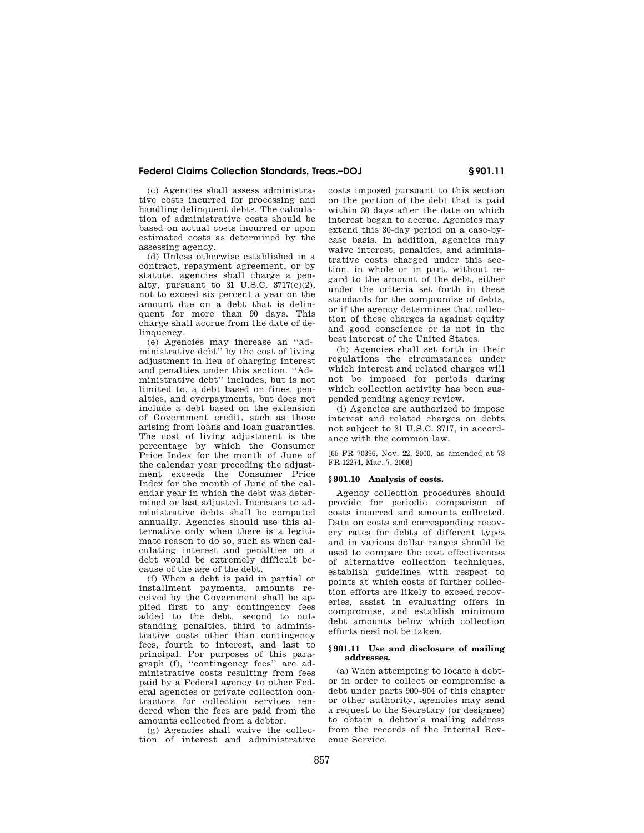(c) Agencies shall assess administrative costs incurred for processing and handling delinquent debts. The calculation of administrative costs should be based on actual costs incurred or upon estimated costs as determined by the assessing agency.

(d) Unless otherwise established in a contract, repayment agreement, or by statute, agencies shall charge a penalty, pursuant to 31 U.S.C. 3717(e)(2), not to exceed six percent a year on the amount due on a debt that is delinquent for more than 90 days. This charge shall accrue from the date of delinquency.

(e) Agencies may increase an ''administrative debt'' by the cost of living adjustment in lieu of charging interest and penalties under this section. ''Administrative debt'' includes, but is not limited to, a debt based on fines, penalties, and overpayments, but does not include a debt based on the extension of Government credit, such as those arising from loans and loan guaranties. The cost of living adjustment is the percentage by which the Consumer Price Index for the month of June of the calendar year preceding the adjustment exceeds the Consumer Price Index for the month of June of the calendar year in which the debt was determined or last adjusted. Increases to administrative debts shall be computed annually. Agencies should use this alternative only when there is a legitimate reason to do so, such as when calculating interest and penalties on a debt would be extremely difficult because of the age of the debt.

(f) When a debt is paid in partial or installment payments, amounts received by the Government shall be applied first to any contingency fees added to the debt, second to outstanding penalties, third to administrative costs other than contingency fees, fourth to interest, and last to principal. For purposes of this paragraph (f), ''contingency fees'' are administrative costs resulting from fees paid by a Federal agency to other Federal agencies or private collection contractors for collection services rendered when the fees are paid from the amounts collected from a debtor.

(g) Agencies shall waive the collection of interest and administrative

costs imposed pursuant to this section on the portion of the debt that is paid within 30 days after the date on which interest began to accrue. Agencies may extend this 30-day period on a case-bycase basis. In addition, agencies may waive interest, penalties, and administrative costs charged under this section, in whole or in part, without regard to the amount of the debt, either under the criteria set forth in these standards for the compromise of debts, or if the agency determines that collection of these charges is against equity and good conscience or is not in the best interest of the United States.

(h) Agencies shall set forth in their regulations the circumstances under which interest and related charges will not be imposed for periods during which collection activity has been suspended pending agency review.

(i) Agencies are authorized to impose interest and related charges on debts not subject to 31 U.S.C. 3717, in accordance with the common law.

[65 FR 70396, Nov. 22, 2000, as amended at 73 FR 12274, Mar. 7, 2008]

### **§ 901.10 Analysis of costs.**

Agency collection procedures should provide for periodic comparison of costs incurred and amounts collected. Data on costs and corresponding recovery rates for debts of different types and in various dollar ranges should be used to compare the cost effectiveness of alternative collection techniques, establish guidelines with respect to points at which costs of further collection efforts are likely to exceed recoveries, assist in evaluating offers in compromise, and establish minimum debt amounts below which collection efforts need not be taken.

### **§ 901.11 Use and disclosure of mailing addresses.**

(a) When attempting to locate a debtor in order to collect or compromise a debt under parts 900–904 of this chapter or other authority, agencies may send a request to the Secretary (or designee) to obtain a debtor's mailing address from the records of the Internal Revenue Service.